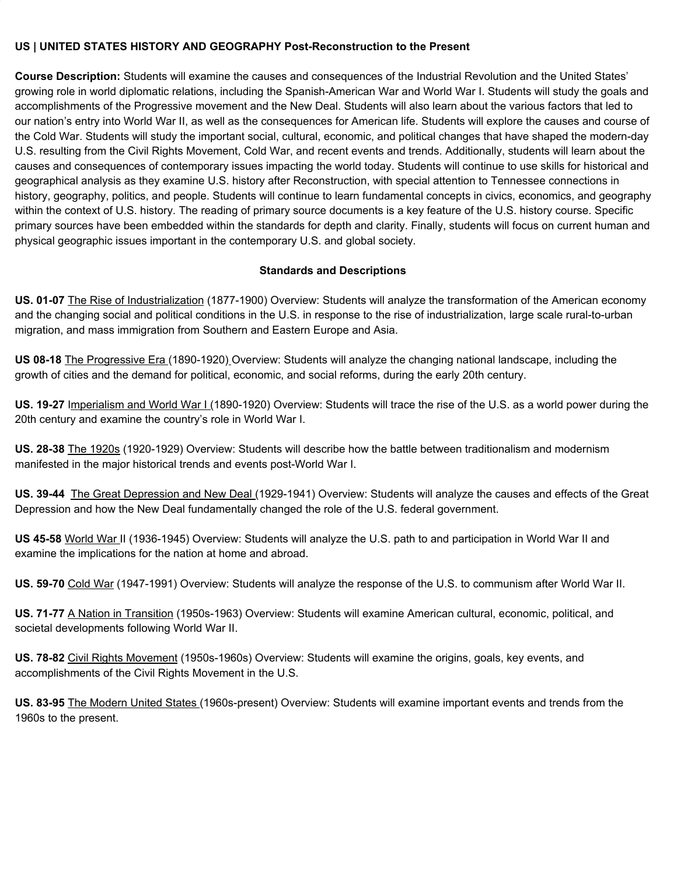## **US | UNITED STATES HISTORY AND GEOGRAPHY Post-Reconstruction to the Present**

**Course Description:** Students will examine the causes and consequences of the Industrial Revolution and the United States' growing role in world diplomatic relations, including the Spanish-American War and World War I. Students will study the goals and accomplishments of the Progressive movement and the New Deal. Students will also learn about the various factors that led to our nation's entry into World War II, as well as the consequences for American life. Students will explore the causes and course of the Cold War. Students will study the important social, cultural, economic, and political changes that have shaped the modern-day U.S. resulting from the Civil Rights Movement, Cold War, and recent events and trends. Additionally, students will learn about the causes and consequences of contemporary issues impacting the world today. Students will continue to use skills for historical and geographical analysis as they examine U.S. history after Reconstruction, with special attention to Tennessee connections in history, geography, politics, and people. Students will continue to learn fundamental concepts in civics, economics, and geography within the context of U.S. history. The reading of primary source documents is a key feature of the U.S. history course. Specific primary sources have been embedded within the standards for depth and clarity. Finally, students will focus on current human and physical geographic issues important in the contemporary U.S. and global society.

## **Standards and Descriptions**

**US. 01-07** The Rise of Industrialization (1877-1900) Overview: Students will analyze the transformation of the American economy and the changing social and political conditions in the U.S. in response to the rise of industrialization, large scale rural-to-urban migration, and mass immigration from Southern and Eastern Europe and Asia.

**US 08-18** The Progressive Era (1890-1920) Overview: Students will analyze the changing national landscape, including the growth of cities and the demand for political, economic, and social reforms, during the early 20th century.

**US. 19-27** Imperialism and World War I (1890-1920) Overview: Students will trace the rise of the U.S. as a world power during the 20th century and examine the country's role in World War I.

**US. 28-38** The 1920s (1920-1929) Overview: Students will describe how the battle between traditionalism and modernism manifested in the major historical trends and events post-World War I.

**US. 39-44** The Great Depression and New Deal (1929-1941) Overview: Students will analyze the causes and effects of the Great Depression and how the New Deal fundamentally changed the role of the U.S. federal government.

**US 45-58** World War II (1936-1945) Overview: Students will analyze the U.S. path to and participation in World War II and examine the implications for the nation at home and abroad.

**US. 59-70** Cold War (1947-1991) Overview: Students will analyze the response of the U.S. to communism after World War II.

**US. 71-77** A Nation in Transition (1950s-1963) Overview: Students will examine American cultural, economic, political, and societal developments following World War II.

**US. 78-82** Civil Rights Movement (1950s-1960s) Overview: Students will examine the origins, goals, key events, and accomplishments of the Civil Rights Movement in the U.S.

**US. 83-95** The Modern United States (1960s-present) Overview: Students will examine important events and trends from the 1960s to the present.